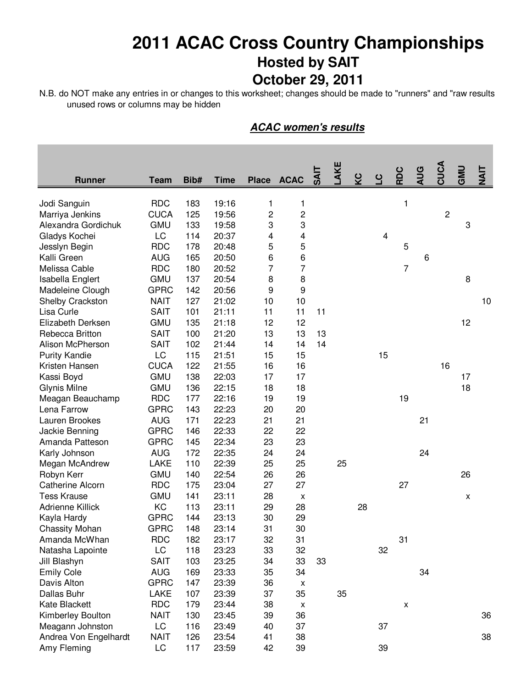## **2011 ACAC Cross Country Championships Hosted by SAIT October 29, 2011**

N.B. do NOT make any entries in or changes to this worksheet; changes should be made to "runners" and "raw results unused rows or columns may be hidden

|                              |             |      |             |                         |                       |     | AKE |    |    |                | <b>AUG</b> | CUCA        | GMD |       |
|------------------------------|-------------|------|-------------|-------------------------|-----------------------|-----|-----|----|----|----------------|------------|-------------|-----|-------|
| <b>Runner</b>                | <b>Team</b> | Bib# | <b>Time</b> |                         | Place ACAC            | द्भ |     |    |    | RDC            |            |             |     | TIAIT |
| Jodi Sanguin                 | <b>RDC</b>  | 183  | 19:16       | 1                       | 1                     |     |     |    |    | 1              |            |             |     |       |
| Marriya Jenkins              | <b>CUCA</b> | 125  | 19:56       | $\sqrt{2}$              | 2                     |     |     |    |    |                |            | $\mathbf 2$ |     |       |
| Alexandra Gordichuk          | <b>GMU</b>  | 133  | 19:58       | 3                       | 3                     |     |     |    |    |                |            |             | 3   |       |
| Gladys Kochei                | LC          | 114  | 20:37       | $\overline{\mathbf{4}}$ | 4                     |     |     |    | 4  |                |            |             |     |       |
|                              | <b>RDC</b>  | 178  | 20:48       | 5                       | 5                     |     |     |    |    | 5              |            |             |     |       |
| Jesslyn Begin<br>Kalli Green | <b>AUG</b>  | 165  | 20:50       | 6                       | 6                     |     |     |    |    |                | 6          |             |     |       |
| Melissa Cable                | <b>RDC</b>  | 180  | 20:52       | 7                       | $\overline{7}$        |     |     |    |    | $\overline{7}$ |            |             |     |       |
|                              | <b>GMU</b>  | 137  | 20:54       |                         |                       |     |     |    |    |                |            |             | 8   |       |
| Isabella Englert             | <b>GPRC</b> | 142  |             | 8                       | 8<br>$\boldsymbol{9}$ |     |     |    |    |                |            |             |     |       |
| Madeleine Clough             |             |      | 20:56       | 9                       |                       |     |     |    |    |                |            |             |     |       |
| Shelby Crackston             | <b>NAIT</b> | 127  | 21:02       | 10                      | 10                    |     |     |    |    |                |            |             |     | 10    |
| Lisa Curle                   | <b>SAIT</b> | 101  | 21:11       | 11                      | 11                    | 11  |     |    |    |                |            |             |     |       |
| Elizabeth Derksen            | <b>GMU</b>  | 135  | 21:18       | 12                      | 12                    |     |     |    |    |                |            |             | 12  |       |
| Rebecca Britton              | <b>SAIT</b> | 100  | 21:20       | 13                      | 13                    | 13  |     |    |    |                |            |             |     |       |
| Alison McPherson             | <b>SAIT</b> | 102  | 21:44       | 14                      | 14                    | 14  |     |    |    |                |            |             |     |       |
| <b>Purity Kandie</b>         | LC          | 115  | 21:51       | 15                      | 15                    |     |     |    | 15 |                |            |             |     |       |
| Kristen Hansen               | <b>CUCA</b> | 122  | 21:55       | 16                      | 16                    |     |     |    |    |                |            | 16          |     |       |
| Kassi Boyd                   | <b>GMU</b>  | 138  | 22:03       | 17                      | 17                    |     |     |    |    |                |            |             | 17  |       |
| <b>Glynis Milne</b>          | <b>GMU</b>  | 136  | 22:15       | 18                      | 18                    |     |     |    |    |                |            |             | 18  |       |
| Meagan Beauchamp             | <b>RDC</b>  | 177  | 22:16       | 19                      | 19                    |     |     |    |    | 19             |            |             |     |       |
| Lena Farrow                  | <b>GPRC</b> | 143  | 22:23       | 20                      | 20                    |     |     |    |    |                |            |             |     |       |
| Lauren Brookes               | <b>AUG</b>  | 171  | 22:23       | 21                      | 21                    |     |     |    |    |                | 21         |             |     |       |
| Jackie Benning               | <b>GPRC</b> | 146  | 22:33       | 22                      | 22                    |     |     |    |    |                |            |             |     |       |
| Amanda Patteson              | <b>GPRC</b> | 145  | 22:34       | 23                      | 23                    |     |     |    |    |                |            |             |     |       |
| Karly Johnson                | <b>AUG</b>  | 172  | 22:35       | 24                      | 24                    |     |     |    |    |                | 24         |             |     |       |
| Megan McAndrew               | <b>LAKE</b> | 110  | 22:39       | 25                      | 25                    |     | 25  |    |    |                |            |             |     |       |
| Robyn Kerr                   | <b>GMU</b>  | 140  | 22:54       | 26                      | 26                    |     |     |    |    |                |            |             | 26  |       |
| <b>Catherine Alcorn</b>      | <b>RDC</b>  | 175  | 23:04       | 27                      | 27                    |     |     |    |    | 27             |            |             |     |       |
| <b>Tess Krause</b>           | <b>GMU</b>  | 141  | 23:11       | 28                      | X                     |     |     |    |    |                |            |             | x   |       |
| <b>Adrienne Killick</b>      | KC          | 113  | 23:11       | 29                      | 28                    |     |     | 28 |    |                |            |             |     |       |
| Kayla Hardy                  | <b>GPRC</b> | 144  | 23:13       | 30                      | 29                    |     |     |    |    |                |            |             |     |       |
| <b>Chassity Mohan</b>        | <b>GPRC</b> | 148  | 23:14       | 31                      | 30                    |     |     |    |    |                |            |             |     |       |
| Amanda McWhan                | <b>RDC</b>  | 182  | 23:17       | 32                      | 31                    |     |     |    |    | 31             |            |             |     |       |
| Natasha Lapointe             | LC          | 118  | 23:23       | 33                      | 32                    |     |     |    | 32 |                |            |             |     |       |
| Jill Blashyn                 | <b>SAIT</b> | 103  | 23:25       | 34                      | 33                    | 33  |     |    |    |                |            |             |     |       |
| <b>Emily Cole</b>            | <b>AUG</b>  | 169  | 23:33       | 35                      | 34                    |     |     |    |    |                | 34         |             |     |       |
| Davis Alton                  | <b>GPRC</b> | 147  | 23:39       | 36                      | х                     |     |     |    |    |                |            |             |     |       |
| Dallas Buhr                  | LAKE        | 107  | 23:39       | 37                      | 35                    |     | 35  |    |    |                |            |             |     |       |
| Kate Blackett                | <b>RDC</b>  | 179  | 23:44       | 38                      | X                     |     |     |    |    | X              |            |             |     |       |
| Kimberley Boulton            | <b>NAIT</b> | 130  | 23:45       | 39                      | 36                    |     |     |    |    |                |            |             |     | 36    |
| Meagann Johnston             | LC          | 116  | 23:49       | 40                      | 37                    |     |     |    | 37 |                |            |             |     |       |
| Andrea Von Engelhardt        | <b>NAIT</b> | 126  | 23:54       | 41                      | 38                    |     |     |    |    |                |            |             |     | 38    |
| Amy Fleming                  | LC          | 117  | 23:59       | 42                      | 39                    |     |     |    | 39 |                |            |             |     |       |

## **ACAC women's results**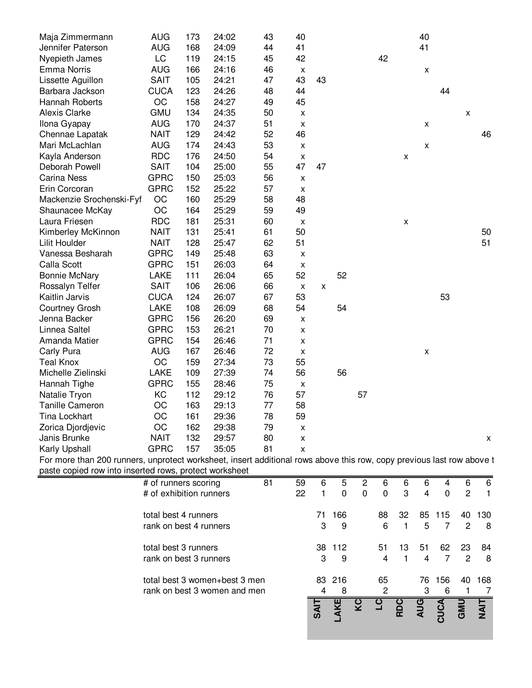| Maja Zimmermann          | <b>AUG</b>  | 173 | 24:02 | 43 | 40                        |    |    |    |    |                    | 40                 |    |   |    |
|--------------------------|-------------|-----|-------|----|---------------------------|----|----|----|----|--------------------|--------------------|----|---|----|
| Jennifer Paterson        | <b>AUG</b>  | 168 | 24:09 | 44 | 41                        |    |    |    |    |                    | 41                 |    |   |    |
| Nyepieth James           | LC          | 119 | 24:15 | 45 | 42                        |    |    |    | 42 |                    |                    |    |   |    |
| <b>Emma Norris</b>       | <b>AUG</b>  | 166 | 24:16 | 46 | $\pmb{\mathsf{X}}$        |    |    |    |    |                    | $\pmb{\mathsf{X}}$ |    |   |    |
| Lissette Aguillon        | <b>SAIT</b> | 105 | 24:21 | 47 | 43                        | 43 |    |    |    |                    |                    |    |   |    |
| Barbara Jackson          | <b>CUCA</b> | 123 | 24:26 | 48 | 44                        |    |    |    |    |                    |                    | 44 |   |    |
| Hannah Roberts           | OC          | 158 | 24:27 | 49 | 45                        |    |    |    |    |                    |                    |    |   |    |
| <b>Alexis Clarke</b>     | <b>GMU</b>  | 134 | 24:35 | 50 | $\pmb{\mathsf{X}}$        |    |    |    |    |                    |                    |    | Χ |    |
| Ilona Gyapay             | <b>AUG</b>  | 170 | 24:37 | 51 | $\pmb{\mathsf{X}}$        |    |    |    |    |                    | X                  |    |   |    |
| Chennae Lapatak          | <b>NAIT</b> | 129 | 24:42 | 52 | 46                        |    |    |    |    |                    |                    |    |   | 46 |
| Mari McLachlan           | <b>AUG</b>  | 174 | 24:43 | 53 | $\pmb{\times}$            |    |    |    |    |                    | X                  |    |   |    |
| Kayla Anderson           | <b>RDC</b>  | 176 | 24:50 | 54 | $\pmb{\times}$            |    |    |    |    | X                  |                    |    |   |    |
| Deborah Powell           | <b>SAIT</b> | 104 | 25:00 | 55 | 47                        | 47 |    |    |    |                    |                    |    |   |    |
| <b>Carina Ness</b>       | <b>GPRC</b> | 150 | 25:03 | 56 | $\pmb{\mathsf{X}}$        |    |    |    |    |                    |                    |    |   |    |
| Erin Corcoran            | <b>GPRC</b> | 152 | 25:22 | 57 | $\pmb{\mathsf{X}}$        |    |    |    |    |                    |                    |    |   |    |
| Mackenzie Srochenski-Fyf | OC          | 160 | 25:29 | 58 | 48                        |    |    |    |    |                    |                    |    |   |    |
| Shaunacee McKay          | OC          | 164 | 25:29 | 59 | 49                        |    |    |    |    |                    |                    |    |   |    |
| Laura Friesen            | <b>RDC</b>  | 181 | 25:31 | 60 | $\pmb{\mathsf{X}}$        |    |    |    |    | $\pmb{\mathsf{X}}$ |                    |    |   |    |
| Kimberley McKinnon       | <b>NAIT</b> | 131 | 25:41 | 61 | 50                        |    |    |    |    |                    |                    |    |   | 50 |
| <b>Lilit Houlder</b>     | <b>NAIT</b> | 128 | 25:47 | 62 | 51                        |    |    |    |    |                    |                    |    |   | 51 |
| Vanessa Besharah         | <b>GPRC</b> | 149 | 25:48 | 63 | $\pmb{\times}$            |    |    |    |    |                    |                    |    |   |    |
| Calla Scott              | <b>GPRC</b> | 151 | 26:03 | 64 | X                         |    |    |    |    |                    |                    |    |   |    |
| <b>Bonnie McNary</b>     | LAKE        | 111 | 26:04 | 65 | 52                        |    | 52 |    |    |                    |                    |    |   |    |
| Rossalyn Telfer          | <b>SAIT</b> | 106 | 26:06 | 66 | $\pmb{\mathsf{X}}$        | X  |    |    |    |                    |                    |    |   |    |
| Kaitlin Jarvis           | <b>CUCA</b> | 124 | 26:07 | 67 | 53                        |    |    |    |    |                    |                    | 53 |   |    |
| <b>Courtney Grosh</b>    | LAKE        | 108 | 26:09 | 68 | 54                        |    | 54 |    |    |                    |                    |    |   |    |
| Jenna Backer             | <b>GPRC</b> | 156 | 26:20 | 69 | X                         |    |    |    |    |                    |                    |    |   |    |
| Linnea Saltel            | <b>GPRC</b> | 153 | 26:21 | 70 | $\pmb{\mathsf{X}}$        |    |    |    |    |                    |                    |    |   |    |
| Amanda Matier            | <b>GPRC</b> | 154 | 26:46 | 71 | $\pmb{\mathsf{X}}$        |    |    |    |    |                    |                    |    |   |    |
| Carly Pura               | <b>AUG</b>  | 167 | 26:46 | 72 | $\pmb{\times}$            |    |    |    |    |                    | X                  |    |   |    |
| <b>Teal Knox</b>         | OC          | 159 | 27:34 | 73 | 55                        |    |    |    |    |                    |                    |    |   |    |
| Michelle Zielinski       | LAKE        | 109 | 27:39 | 74 | 56                        |    | 56 |    |    |                    |                    |    |   |    |
| Hannah Tighe             | <b>GPRC</b> | 155 | 28:46 | 75 | X                         |    |    |    |    |                    |                    |    |   |    |
| Natalie Tryon            | KC          | 112 | 29:12 | 76 | 57                        |    |    | 57 |    |                    |                    |    |   |    |
| <b>Tanille Cameron</b>   | OC          | 163 | 29:13 | 77 | 58                        |    |    |    |    |                    |                    |    |   |    |
| <b>Tina Lockhart</b>     | OC          | 161 | 29:36 | 78 | 59                        |    |    |    |    |                    |                    |    |   |    |
| Zorica Djordjevic        | OC          | 162 | 29:38 | 79 | $\pmb{\mathsf{X}}$        |    |    |    |    |                    |                    |    |   |    |
| Janis Brunke             | <b>NAIT</b> | 132 | 29:57 | 80 | $\pmb{\mathsf{x}}$        |    |    |    |    |                    |                    |    |   | X  |
| Karly Upshall            | <b>GPRC</b> | 157 | 35:05 | 81 | $\boldsymbol{\mathsf{x}}$ |    |    |    |    |                    |                    |    |   |    |

For more than 200 runners, unprotect worksheet, insert additional rows above this row, copy previous last row above t paste copied row into inserted rows, protect worksheet

|                                                               |    |          | <b>SAIT</b> | ¥           | ပ္စ    |         | Ř       | <b>AUG</b> | <b>CDC</b> | <b>UMD</b> | $\bar{z}$ |
|---------------------------------------------------------------|----|----------|-------------|-------------|--------|---------|---------|------------|------------|------------|-----------|
| total best 3 women+best 3 men<br>rank on best 3 women and men |    |          | 4           | 83 216<br>8 |        | 65<br>2 |         | 76<br>3    | 156<br>6   | 40         | 168       |
| total best 3 runners<br>rank on best 3 runners                |    |          | 38<br>3     | -112<br>9   |        | 51<br>4 | 13<br>1 | 51<br>4    | 62<br>7    | 23<br>2    | 84<br>8   |
| total best 4 runners<br>rank on best 4 runners                |    |          | 71<br>3     | 166<br>9    |        | 88<br>6 | 32<br>1 | 85<br>5    | 115<br>7   | 40<br>2    | 130<br>8  |
| # of runners scoring<br># of exhibition runners               | 81 | 59<br>22 | 6           | 5<br>0      | 2<br>0 | 6<br>0  | 6<br>3  | 6<br>4     | 4<br>0     | 6<br>2     | 6<br>1    |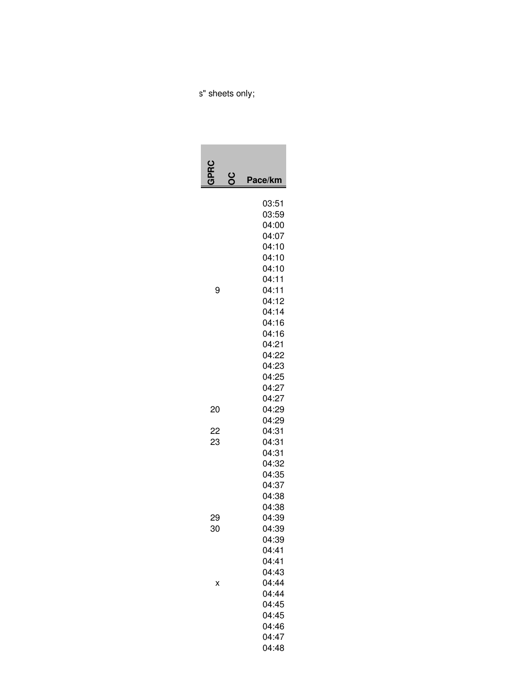## s" sheets only;

|          | ပ္ပ | Pace/km                                                                                                                                               |
|----------|-----|-------------------------------------------------------------------------------------------------------------------------------------------------------|
| 9        |     | 03:51<br>03:59<br>04:00<br>04:07<br>04:10<br>04:10<br>04:10<br>04:11<br>04:11<br>04:12<br>04:14<br>04:16<br>04:16<br>04:21<br>04:22<br>04:23<br>04:25 |
| 20       |     | 04:27<br>04:27<br>04:29                                                                                                                               |
| 22<br>23 |     | 04:29<br>04:31<br>04:31<br>04:31<br>04:32<br>04:35<br>04:37<br>04:38                                                                                  |
| 29<br>30 |     | 04:38<br>04:39<br>04:39<br>04:39<br>04:41<br>04:41<br>04:43                                                                                           |
| x        |     | 04:44<br>04:44<br>04:45<br>04:45<br>04:46<br>04:47<br>04:48                                                                                           |